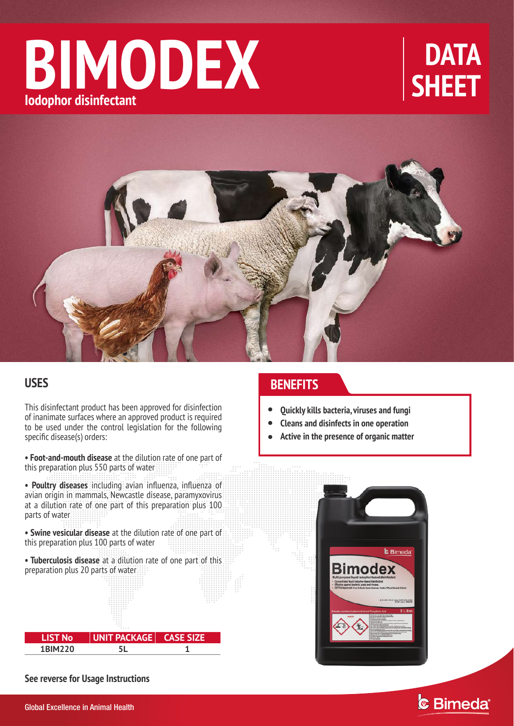# **BIMODEX Iodophor disinfectant**

## **DATA SHEET**



### **USES**

This disinfectant product has been approved for disinfection of inanimate surfaces where an approved product is required to be used under the control legislation for the following specific disease(s) orders:

**• Foot-and-mouth disease** at the dilution rate of one part of this preparation plus 550 parts of water

**• Poultry diseases** including avian influenza, influenza of avian origin in mammals, Newcastle disease, paramyxovirus at a dilution rate of one part of this preparation plus 100 parts of water

**• Swine vesicular disease** at the dilution rate of one part of this preparation plus 100 parts of water

**• Tuberculosis disease** at a dilution rate of one part of this preparation plus 20 parts of water

| ۱о<br>LIS I N | ______<br>UNIT PACKAGE CASE SIZE |  |
|---------------|----------------------------------|--|
| 1BIM220       |                                  |  |

### **BENEFITS**

- **Quickly kills bacteria, viruses and fungi**  $\bullet$
- **Cleans and disinfects in one operation**  $\bullet$
- **Active in the presence of organic matter**  $\bullet$



& Bimeda®

#### **See reverse for Usage Instructions**